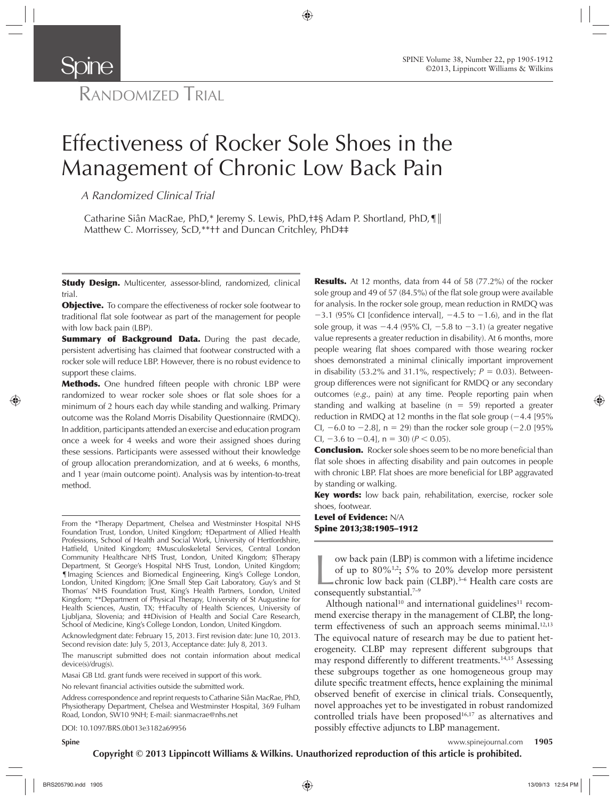# RANDOMIZED TRIAL

**Spine** 

# Effectiveness of Rocker Sole Shoes in the Management of Chronic Low Back Pain

*A Randomized Clinical Trial* 

Catharine Siân MacRae, PhD,\* Jeremy S. Lewis, PhD, +  $\frac{1}{5}$  Adam P. Shortland, PhD,  $\P$ Matthew C. Morrissey, ScD,\*\*<sup>††</sup> and Duncan Critchley, PhD<sup>‡‡</sup>

**Study Design.** Multicenter, assessor-blind, randomized, clinical trial.

**Objective.** To compare the effectiveness of rocker sole footwear to traditional flat sole footwear as part of the management for people with low back pain (LBP).

**Summary of Background Data.** During the past decade, persistent advertising has claimed that footwear constructed with a rocker sole will reduce LBP. However, there is no robust evidence to support these claims.

Methods. One hundred fifteen people with chronic LBP were randomized to wear rocker sole shoes or flat sole shoes for a minimum of 2 hours each day while standing and walking. Primary outcome was the Roland Morris Disability Questionnaire (RMDQ). In addition, participants attended an exercise and education program once a week for 4 weeks and wore their assigned shoes during these sessions. Participants were assessed without their knowledge of group allocation prerandomization, and at 6 weeks, 6 months, and 1 year (main outcome point). Analysis was by intention-to-treat method.

From the \*Therapy Department, Chelsea and Westminster Hospital NHS Foundation Trust, London, United Kingdom; †Department of Allied Health Professions, School of Health and Social Work, University of Hertfordshire, Hatfield, United Kingdom; #Musculoskeletal Services, Central London Community Healthcare NHS Trust, London, United Kingdom; §Therapy Department, St George's Hospital NHS Trust, London, United Kingdom; ¶ Imaging Sciences and Biomedical Engineering, King's College London, London, United Kingdom; ||One Small Step Gait Laboratory, Guy's and St Thomas' NHS Foundation Trust, King's Health Partners, London, United Kingdom; \*\* Department of Physical Therapy, University of St Augustine for Health Sciences, Austin, TX; †† Faculty of Health Sciences, University of Ljubljana, Slovenia; and #Division of Health and Social Care Research, School of Medicine, King's College London, London, United Kingdom.

Acknowledgment date: February 15, 2013. First revision date: June 10, 2013. Second revision date: July 5, 2013, Acceptance date: July 8, 2013.

The manuscript submitted does not contain information about medical device(s)/drug(s).

Masai GB Ltd. grant funds were received in support of this work.

No relevant financial activities outside the submitted work.

Address correspondence and reprint requests to Catharine Siân MacRae, PhD, Physiotherapy Department, Chelsea and Westminster Hospital, 369 Fulham Road, London, SW10 9NH; E-mail: sianmacrae@nhs.net

DOI: 10.1097/BRS.0b013e3182a69956

**Results.** At 12 months, data from 44 of 58 (77.2%) of the rocker sole group and 49 of 57 (84.5%) of the flat sole group were available for analysis. In the rocker sole group, mean reduction in RMDQ was  $-3.1$  (95% CI [confidence interval],  $-4.5$  to  $-1.6$ ), and in the flat sole group, it was  $-4.4$  (95% Cl,  $-5.8$  to  $-3.1$ ) (a greater negative value represents a greater reduction in disability). At 6 months, more people wearing flat shoes compared with those wearing rocker shoes demonstrated a minimal clinically important improvement in disability (53.2% and 31.1%, respectively;  $P = 0.03$ ). Betweengroup differences were not significant for RMDQ or any secondary outcomes (e.g., pain) at any time. People reporting pain when standing and walking at baseline ( $n = 59$ ) reported a greater reduction in RMDQ at 12 months in the flat sole group  $(-4.4 \, [95\%$ Cl,  $-6.0$  to  $-2.8$ ], n = 29) than the rocker sole group ( $-2.0$  [95% CI,  $-3.6$  to  $-0.4$ ], n = 30) ( $P < 0.05$ ).

**Conclusion.** Rocker sole shoes seem to be no more beneficial than flat sole shoes in affecting disability and pain outcomes in people with chronic LBP. Flat shoes are more beneficial for LBP aggravated by standing or walking.

**Key words:** low back pain, rehabilitation, exercise, rocker sole shoes, footwear.

Level of Evidence: N/A Spine 2013;38:1905–1912

w back pain (LBP) is<br>of up to 80%<sup>1,2</sup>; 5%<br>chronic low back pain<br>consequently substantial.<sup>7-9</sup> ow back pain (LBP) is common with a lifetime incidence of up to  $80\%$ <sup>1,2</sup>; 5% to 20% develop more persistent chronic low back pain (CLBP). 3–6 Health care costs are

Although national<sup>10</sup> and international guidelines<sup>11</sup> recommend exercise therapy in the management of CLBP, the longterm effectiveness of such an approach seems minimal.<sup>12,13</sup> The equivocal nature of research may be due to patient heterogeneity. CLBP may represent different subgroups that may respond differently to different treatments. 14,15 Assessing these subgroups together as one homogeneous group may dilute specific treatment effects, hence explaining the minimal observed benefit of exercise in clinical trials. Consequently, novel approaches yet to be investigated in robust randomized controlled trials have been proposed $16,17$  as alternatives and possibly effective adjuncts to LBP management.

**Spine** www.spinejournal.com **1905**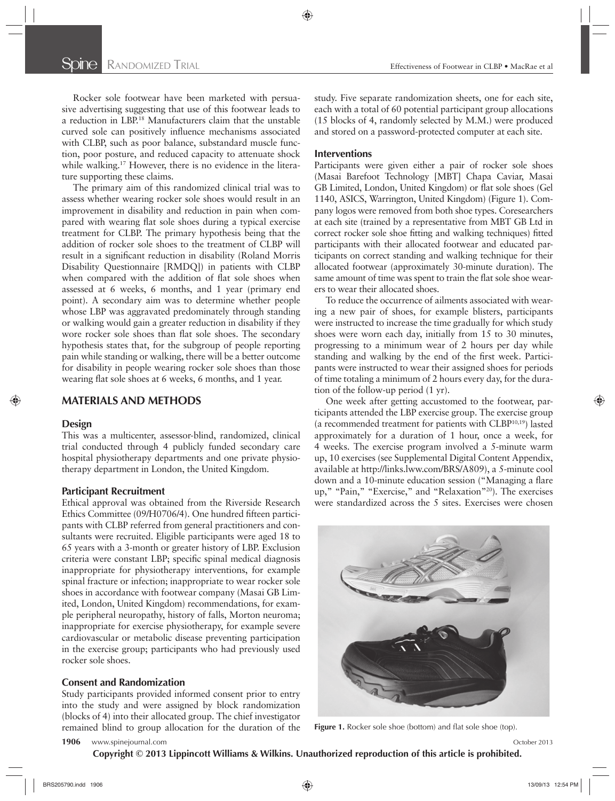Rocker sole footwear have been marketed with persuasive advertising suggesting that use of this footwear leads to a reduction in LBP.<sup>18</sup> Manufacturers claim that the unstable curved sole can positively influence mechanisms associated with CLBP, such as poor balance, substandard muscle function, poor posture, and reduced capacity to attenuate shock while walking.<sup>17</sup> However, there is no evidence in the literature supporting these claims.

The primary aim of this randomized clinical trial was to assess whether wearing rocker sole shoes would result in an improvement in disability and reduction in pain when compared with wearing flat sole shoes during a typical exercise treatment for CLBP. The primary hypothesis being that the addition of rocker sole shoes to the treatment of CLBP will result in a significant reduction in disability (Roland Morris Disability Questionnaire [RMDQ]) in patients with CLBP when compared with the addition of flat sole shoes when assessed at 6 weeks, 6 months, and 1 year (primary end point). A secondary aim was to determine whether people whose LBP was aggravated predominately through standing or walking would gain a greater reduction in disability if they wore rocker sole shoes than flat sole shoes. The secondary hypothesis states that, for the subgroup of people reporting pain while standing or walking, there will be a better outcome for disability in people wearing rocker sole shoes than those wearing flat sole shoes at 6 weeks, 6 months, and 1 year.

# **MATERIALS AND METHODS**

#### **Design**

This was a multicenter, assessor-blind, randomized, clinical trial conducted through 4 publicly funded secondary care hospital physiotherapy departments and one private physiotherapy department in London, the United Kingdom.

#### **Participant Recruitment**

Ethical approval was obtained from the Riverside Research Ethics Committee (09/H0706/4). One hundred fifteen participants with CLBP referred from general practitioners and consultants were recruited. Eligible participants were aged 18 to 65 years with a 3-month or greater history of LBP. Exclusion criteria were constant LBP; specific spinal medical diagnosis inappropriate for physiotherapy interventions, for example spinal fracture or infection; inappropriate to wear rocker sole shoes in accordance with footwear company (Masai GB Limited, London, United Kingdom) recommendations, for example peripheral neuropathy, history of falls, Morton neuroma; inappropriate for exercise physiotherapy, for example severe cardiovascular or metabolic disease preventing participation in the exercise group; participants who had previously used rocker sole shoes.

# **Consent and Randomization**

Study participants provided informed consent prior to entry into the study and were assigned by block randomization (blocks of 4) into their allocated group. The chief investigator remained blind to group allocation for the duration of the study. Five separate randomization sheets, one for each site, each with a total of 60 potential participant group allocations (15 blocks of 4, randomly selected by M.M.) were produced and stored on a password-protected computer at each site.

#### **Interventions**

Participants were given either a pair of rocker sole shoes (Masai Barefoot Technology [MBT] Chapa Caviar, Masai GB Limited, London, United Kingdom) or flat sole shoes (Gel 1140, ASICS, Warrington, United Kingdom) (Figure 1). Company logos were removed from both shoe types. Coresearchers at each site (trained by a representative from MBT GB Ltd in correct rocker sole shoe fitting and walking techniques) fitted participants with their allocated footwear and educated participants on correct standing and walking technique for their allocated footwear (approximately 30-minute duration). The same amount of time was spent to train the flat sole shoe wearers to wear their allocated shoes.

To reduce the occurrence of ailments associated with wearing a new pair of shoes, for example blisters, participants were instructed to increase the time gradually for which study shoes were worn each day, initially from 15 to 30 minutes, progressing to a minimum wear of 2 hours per day while standing and walking by the end of the first week. Participants were instructed to wear their assigned shoes for periods of time totaling a minimum of 2 hours every day, for the duration of the follow-up period (1 yr).

One week after getting accustomed to the footwear, participants attended the LBP exercise group. The exercise group (a recommended treatment for patients with  $CLBP^{10,19}$ ) lasted approximately for a duration of 1 hour, once a week, for 4 weeks. The exercise program involved a 5-minute warm up, 10 exercises (see Supplemental Digital Content Appendix, available at http://links.lww.com/BRS/A809 ), a 5-minute cool down and a 10-minute education session ("Managing a flare up," "Pain," "Exercise," and "Relaxation"<sup>20</sup>). The exercises were standardized across the 5 sites. Exercises were chosen



Figure 1. Rocker sole shoe (bottom) and flat sole shoe (top).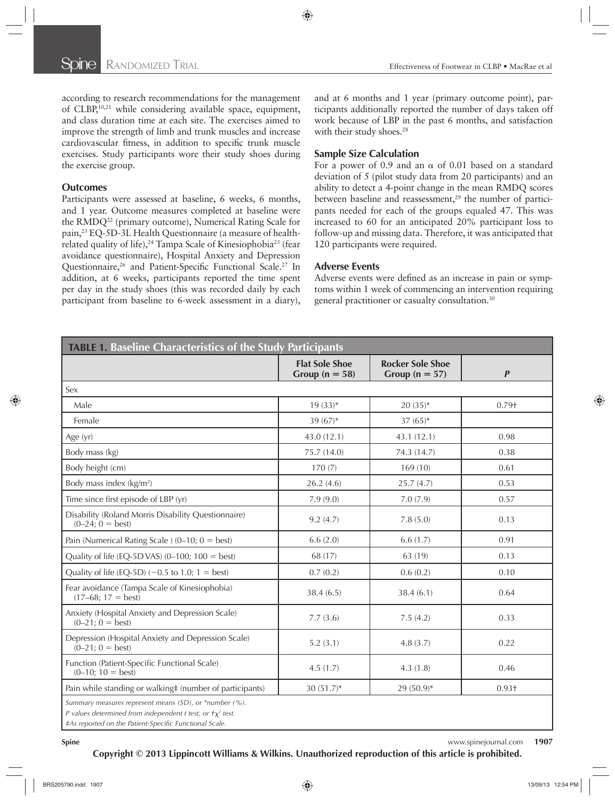according to research recommendations for the management of CLBP,<sup>10,21</sup> while considering available space, equipment, and class duration time at each site. The exercises aimed to improve the strength of limb and trunk muscles and increase cardiovascular fitness, in addition to specific trunk muscle exercises. Study participants wore their study shoes during the exercise group.

#### **Outcomes**

Participants were assessed at baseline, 6 weeks, 6 months, and 1 year. Outcome measures completed at baseline were the RMDQ<sup>22</sup> (primary outcome), Numerical Rating Scale for pain, 23 EQ-5D-3L Health Questionnaire (a measure of healthrelated quality of life),<sup>24</sup> Tampa Scale of Kinesiophobia<sup>25</sup> (fear avoidance questionnaire), Hospital Anxiety and Depression Questionnaire,<sup>26</sup> and Patient-Specific Functional Scale.<sup>27</sup> In addition, at 6 weeks, participants reported the time spent per day in the study shoes (this was recorded daily by each participant from baseline to 6-week assessment in a diary), and at 6 months and 1 year (primary outcome point), participants additionally reported the number of days taken off work because of LBP in the past 6 months, and satisfaction with their study shoes.<sup>28</sup>

#### **Sample Size Calculation**

For a power of 0.9 and an  $\alpha$  of 0.01 based on a standard deviation of 5 (pilot study data from 20 participants) and an ability to detect a 4-point change in the mean RMDQ scores between baseline and reassessment,<sup>29</sup> the number of participants needed for each of the groups equaled 47. This was increased to 60 for an anticipated 20% participant loss to follow-up and missing data. Therefore, it was anticipated that 120 participants were required.

#### **Adverse Events**

Adverse events were defined as an increase in pain or symptoms within 1 week of commencing an intervention requiring general practitioner or casualty consultation. 30

| <b>TABLE 1. Baseline Characteristics of the Study Participants</b>                                                                                                                   |                                             |                                               |                  |  |  |
|--------------------------------------------------------------------------------------------------------------------------------------------------------------------------------------|---------------------------------------------|-----------------------------------------------|------------------|--|--|
|                                                                                                                                                                                      | <b>Flat Sole Shoe</b><br>Group ( $n = 58$ ) | <b>Rocker Sole Shoe</b><br>Group ( $n = 57$ ) | $\boldsymbol{P}$ |  |  |
| Sex                                                                                                                                                                                  |                                             |                                               |                  |  |  |
| Male                                                                                                                                                                                 | $19(33)*$                                   | $20(35)*$                                     | $0.79+$          |  |  |
| Female                                                                                                                                                                               | 39 $(67)*$                                  | $37(65)*$                                     |                  |  |  |
| Age (yr)                                                                                                                                                                             | 43.0 (12.1)                                 | 43.1 (12.1)                                   | 0.98             |  |  |
| Body mass (kg)                                                                                                                                                                       | 75.7 (14.0)                                 | 74.3 (14.7)                                   | 0.38             |  |  |
| Body height (cm)                                                                                                                                                                     | 170(7)                                      | 169(10)                                       | 0.61             |  |  |
| Body mass index (kg/m <sup>2</sup> )                                                                                                                                                 | 26.2(4.6)                                   | 25.7(4.7)                                     | 0.53             |  |  |
| Time since first episode of LBP (yr)                                                                                                                                                 | 7.9(9.0)                                    | 7.0(7.9)                                      | 0.57             |  |  |
| Disability (Roland Morris Disability Questionnaire)<br>$(0-24; 0 = best)$                                                                                                            | 9.2(4.7)                                    | 7.8(5.0)                                      | 0.13             |  |  |
| Pain (Numerical Rating Scale) (0-10; $0 = best$ )                                                                                                                                    | 6.6(2.0)                                    | 6.6(1.7)                                      | 0.91             |  |  |
| Quality of life (EQ-5D VAS) (0-100; $100 = best$ )                                                                                                                                   | 68 (17)                                     | 63 (19)                                       | 0.13             |  |  |
| Quality of life (EQ-5D) $(-0.5 \text{ to } 1.0; 1 = \text{best})$                                                                                                                    | 0.7(0.2)                                    | 0.6(0.2)                                      | 0.10             |  |  |
| Fear avoidance (Tampa Scale of Kinesiophobia)<br>$(17-68; 17 = best)$                                                                                                                | 38.4(6.5)                                   | 38.4(6.1)                                     | 0.64             |  |  |
| Anxiety (Hospital Anxiety and Depression Scale)<br>$(0-21; 0 = best)$                                                                                                                | 7.7(3.6)                                    | 7.5(4.2)                                      | 0.33             |  |  |
| Depression (Hospital Anxiety and Depression Scale)<br>$(0-21; 0 = best)$                                                                                                             | 5.2(3.1)                                    | 4.8(3.7)                                      | 0.22             |  |  |
| Function (Patient-Specific Functional Scale)<br>$(0-10; 10 = best)$                                                                                                                  | 4.5(1.7)                                    | 4.3(1.8)                                      | 0.46             |  |  |
| Pain while standing or walking# (number of participants)                                                                                                                             | $30(51.7)^*$                                | $29(50.9)^*$                                  | $0.93 +$         |  |  |
| Summary measures represent means (SD), or *number (%).<br>P values determined from independent t test, or $\tau_X^2$ test.<br>#As reported on the Patient-Specific Functional Scale. |                                             |                                               |                  |  |  |

**Spine** www.spinejournal.com **1907 Copyright © 2013 Lippincott Williams & Wilkins. Unauthorized reproduction of this article is prohibited.**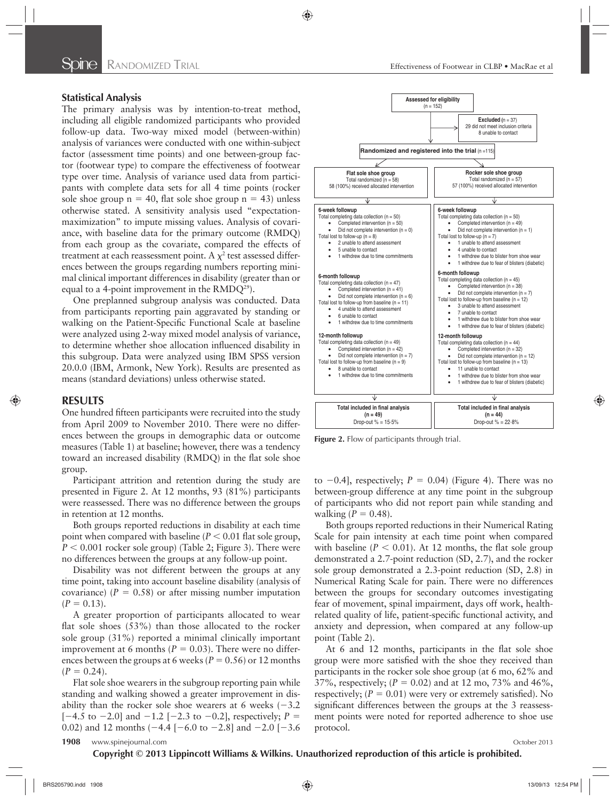### **Statistical Analysis**

The primary analysis was by intention-to-treat method, including all eligible randomized participants who provided follow-up data. Two-way mixed model (between-within) analysis of variances were conducted with one within-subject factor (assessment time points) and one between-group factor (footwear type) to compare the effectiveness of footwear type over time. Analysis of variance used data from participants with complete data sets for all 4 time points (rocker sole shoe group  $n = 40$ , flat sole shoe group  $n = 43$ ) unless otherwise stated. A sensitivity analysis used "expectationmaximization" to impute missing values. Analysis of covariance, with baseline data for the primary outcome (RMDQ) from each group as the covariate, compared the effects of treatment at each reassessment point. A  $\chi^2$  test assessed differences between the groups regarding numbers reporting minimal clinical important differences in disability (greater than or equal to a 4-point improvement in the  $RMDQ^{29}$ ).

One preplanned subgroup analysis was conducted. Data from participants reporting pain aggravated by standing or walking on the Patient-Specific Functional Scale at baseline were analyzed using 2-way mixed model analysis of variance, to determine whether shoe allocation influenced disability in this subgroup. Data were analyzed using IBM SPSS version 20.0.0 (IBM, Armonk, New York). Results are presented as means (standard deviations) unless otherwise stated.

#### **RESULTS**

One hundred fifteen participants were recruited into the study from April 2009 to November 2010. There were no differences between the groups in demographic data or outcome measures (Table 1) at baseline; however, there was a tendency toward an increased disability (RMDQ) in the flat sole shoe group.

Participant attrition and retention during the study are presented in Figure 2. At 12 months, 93 (81%) participants were reassessed. There was no difference between the groups in retention at 12 months.

Both groups reported reductions in disability at each time point when compared with baseline ( $P < 0.01$  flat sole group,  $P < 0.001$  rocker sole group) (Table 2; Figure 3). There were no differences between the groups at any follow-up point.

Disability was not different between the groups at any time point, taking into account baseline disability (analysis of covariance)  $(P = 0.58)$  or after missing number imputation  $(P = 0.13)$ .

A greater proportion of participants allocated to wear flat sole shoes  $(53%)$  than those allocated to the rocker sole group (31%) reported a minimal clinically important improvement at 6 months ( $P = 0.03$ ). There were no differences between the groups at 6 weeks ( $P = 0.56$ ) or 12 months  $(P = 0.24)$ .

Flat sole shoe wearers in the subgroup reporting pain while standing and walking showed a greater improvement in disability than the rocker sole shoe wearers at 6 weeks  $(-3.2)$  $[-4.5 \text{ to } -2.0]$  and  $-1.2 [-2.3 \text{ to } -0.2]$ , respectively;  $P =$ 0.02) and 12 months ( $-4.4$  [ $-6.0$  to  $-2.8$ ] and  $-2.0$  [ $-3.6$ ]





**Figure 2.** Flow of participants through trial.

to  $-0.4$ ], respectively;  $P = 0.04$ ) (Figure 4). There was no between-group difference at any time point in the subgroup of participants who did not report pain while standing and walking  $(P = 0.48)$ .

Both groups reported reductions in their Numerical Rating Scale for pain intensity at each time point when compared with baseline  $(P < 0.01)$ . At 12 months, the flat sole group demonstrated a 2.7-point reduction (SD, 2.7), and the rocker sole group demonstrated a 2.3-point reduction (SD, 2.8) in Numerical Rating Scale for pain. There were no differences between the groups for secondary outcomes investigating fear of movement, spinal impairment, days off work, healthrelated quality of life, patient-specific functional activity, and anxiety and depression, when compared at any follow-up point (Table 2).

At 6 and 12 months, participants in the flat sole shoe group were more satisfied with the shoe they received than participants in the rocker sole shoe group (at 6 mo, 62% and 37%, respectively;  $(P = 0.02)$  and at 12 mo, 73% and 46%, respectively;  $(P = 0.01)$  were very or extremely satisfied). No significant differences between the groups at the 3 reassessment points were noted for reported adherence to shoe use protocol.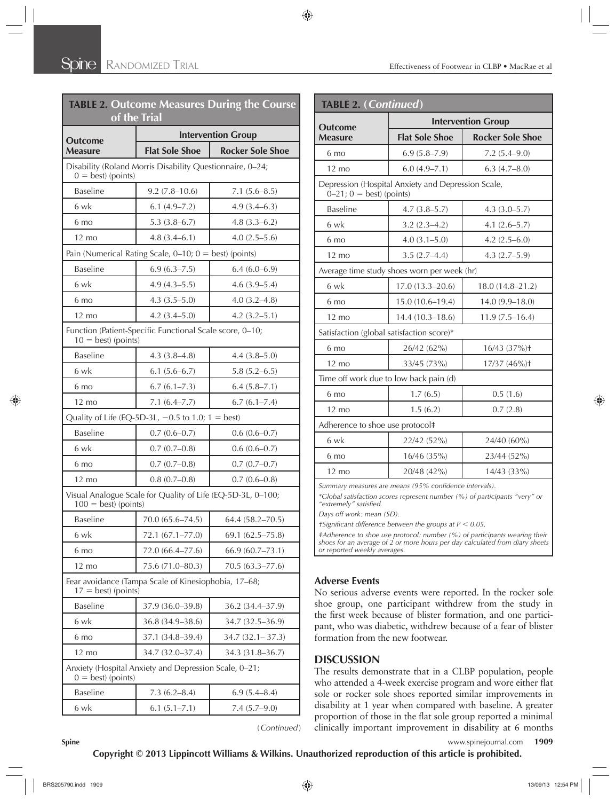| <b>TABLE 2. Outcome Measures During the Course</b><br>of the Trial                      |                                                     |                         |  |  |
|-----------------------------------------------------------------------------------------|-----------------------------------------------------|-------------------------|--|--|
|                                                                                         | <b>Intervention Group</b>                           |                         |  |  |
| <b>Outcome</b><br><b>Measure</b>                                                        | <b>Flat Sole Shoe</b>                               | <b>Rocker Sole Shoe</b> |  |  |
| Disability (Roland Morris Disability Questionnaire, 0-24;<br>$0 = \text{best}$ (points) |                                                     |                         |  |  |
| <b>Baseline</b>                                                                         | $9.2(7.8-10.6)$                                     | $7.1(5.6-8.5)$          |  |  |
| 6 wk                                                                                    | 6.1(4.9–7.2)                                        | 4.9(3.4–6.3)            |  |  |
| 6 mo                                                                                    | $5.3(3.8-6.7)$                                      | $4.8(3.3-6.2)$          |  |  |
| $12 \text{ mo}$                                                                         | $4.8(3.4-6.1)$                                      | $4.0(2.5-5.6)$          |  |  |
| Pain (Numerical Rating Scale, $0-10$ ; $0 = best$ ) (points)                            |                                                     |                         |  |  |
| <b>Baseline</b>                                                                         | 6.9(6.3–7.5)                                        | $6.4(6.0-6.9)$          |  |  |
| 6 wk                                                                                    | $4.9(4.3-5.5)$                                      | $4.6(3.9-5.4)$          |  |  |
| 6 mo                                                                                    | $4.3(3.5-5.0)$                                      | $4.0(3.2 - 4.8)$        |  |  |
| $12 \text{ mo}$                                                                         | $4.2(3.4 - 5.0)$                                    | $4.2(3.2 - 5.1)$        |  |  |
| Function (Patient-Specific Functional Scale score, 0-10;<br>$10 = best$ ) (points)      |                                                     |                         |  |  |
| <b>Baseline</b>                                                                         | $4.3(3.8-4.8)$                                      | $4.4(3.8-5.0)$          |  |  |
| 6 wk                                                                                    | $6.1(5.6-6.7)$                                      | $5.8(5.2 - 6.5)$        |  |  |
| 6 mo                                                                                    | 6.7(6.1–7.3)                                        | $6.4(5.8-7.1)$          |  |  |
| $12 \text{ mo}$                                                                         | $7.1(6.4 - 7.7)$                                    | 6.7(6.1–7.4)            |  |  |
|                                                                                         | Quality of Life (EQ-5D-3L, $-0.5$ to 1.0; 1 = best) |                         |  |  |
| <b>Baseline</b>                                                                         | $0.7(0.6-0.7)$                                      | $0.6(0.6-0.7)$          |  |  |
| 6 wk                                                                                    | $0.7(0.7-0.8)$                                      | $0.6(0.6-0.7)$          |  |  |
| 6 mo                                                                                    | $0.7(0.7-0.8)$                                      | $0.7(0.7-0.7)$          |  |  |
| $12 \text{ mo}$                                                                         | $0.8(0.7-0.8)$                                      | $0.7(0.6-0.8)$          |  |  |
| Visual Analogue Scale for Quality of Life (EQ-5D-3L, 0-100;<br>$100 = best$ ) (points)  |                                                     |                         |  |  |
| <b>Baseline</b>                                                                         | 70.0 (65.6-74.5)                                    | 64.4 (58.2-70.5)        |  |  |
| 6 wk                                                                                    | 72.1 (67.1-77.0)                                    | $69.1(62.5 - 75.8)$     |  |  |
| 6 mo                                                                                    | 72.0 (66.4–77.6)                                    | 66.9(60.7–73.1)         |  |  |
| $12 \text{ mo}$                                                                         | 75.6 (71.0-80.3)                                    | $70.5(63.3 - 77.6)$     |  |  |
| Fear avoidance (Tampa Scale of Kinesiophobia, 17-68;<br>$17 = best$ ) (points)          |                                                     |                         |  |  |
| <b>Baseline</b>                                                                         | 37.9 (36.0–39.8)                                    | 36.2 (34.4–37.9)        |  |  |
| 6 wk                                                                                    | 36.8 (34.9-38.6)                                    | 34.7 (32.5–36.9)        |  |  |
| 6 mo                                                                                    | 37.1 (34.8-39.4)                                    | $34.7(32.1 - 37.3)$     |  |  |
| $12 \text{ mo}$                                                                         | 34.7 (32.0–37.4)                                    | 34.3 (31.8–36.7)        |  |  |
| Anxiety (Hospital Anxiety and Depression Scale, 0-21;<br>$0 = best$ (points)            |                                                     |                         |  |  |
| <b>Baseline</b>                                                                         | $7.3(6.2 - 8.4)$                                    | 6.9(5.4–8.4)            |  |  |
| 6 wk                                                                                    | $6.1 (5.1 - 7.1)$                                   | $7.4(5.7-9.0)$          |  |  |

( *Continued* )

| <b>TABLE 2. (Continued)</b>                                                          |                           |                              |  |  |  |
|--------------------------------------------------------------------------------------|---------------------------|------------------------------|--|--|--|
| <b>Outcome</b>                                                                       | <b>Intervention Group</b> |                              |  |  |  |
| <b>Measure</b>                                                                       | <b>Flat Sole Shoe</b>     | <b>Rocker Sole Shoe</b>      |  |  |  |
| 6 mo                                                                                 | $6.9(5.8 - 7.9)$          | $7.2(5.4 - 9.0)$             |  |  |  |
| $12 \text{ mo}$                                                                      | $6.0(4.9 - 7.1)$          | $6.3(4.7 - 8.0)$             |  |  |  |
| Depression (Hospital Anxiety and Depression Scale,<br>$0 - 21$ ; $0 = best$ (points) |                           |                              |  |  |  |
| <b>Baseline</b>                                                                      | $4.7(3.8-5.7)$            | $4.3(3.0-5.7)$               |  |  |  |
| 6 wk                                                                                 | $3.2(2.3-4.2)$            | $4.1(2.6 - 5.7)$             |  |  |  |
| $6 \text{ mo}$                                                                       | $4.0(3.1 - 5.0)$          | $4.2(2.5-6.0)$               |  |  |  |
| $12 \text{ mo}$                                                                      | $3.5(2.7-4.4)$            | $4.3(2.7-5.9)$               |  |  |  |
| Average time study shoes worn per week (hr)                                          |                           |                              |  |  |  |
| 6 wk                                                                                 | $17.0(13.3 - 20.6)$       | $18.0(14.8 - 21.2)$          |  |  |  |
| 6 mo                                                                                 | $15.0(10.6 - 19.4)$       | $14.0(9.9-18.0)$             |  |  |  |
| $12 \text{ mo}$                                                                      | $14.4(10.3-18.6)$         | $11.9(7.5 - 16.4)$           |  |  |  |
| Satisfaction (global satisfaction score)*                                            |                           |                              |  |  |  |
| 6 mo                                                                                 | 26/42 (62%)               | $16/43$ $(37%)$ <sup>+</sup> |  |  |  |
| $12 \text{ mo}$                                                                      | 33/45 (73%)               | 17/37 (46%) <sup>+</sup>     |  |  |  |
| Time off work due to low back pain (d)                                               |                           |                              |  |  |  |
| 6 mo                                                                                 | 1.7(6.5)                  | 0.5(1.6)                     |  |  |  |
| $12 \text{ mo}$                                                                      | 1.5(6.2)                  | 0.7(2.8)                     |  |  |  |
| Adherence to shoe use protocol#                                                      |                           |                              |  |  |  |
| 6 wk                                                                                 | 22/42 (52%)               | 24/40 (60%)                  |  |  |  |
| 6 mo                                                                                 | 16/46(35%)                | 23/44 (52%)                  |  |  |  |
| $12 \text{ mo}$                                                                      | 20/48 (42%)               | 14/43 (33%)                  |  |  |  |
| Summary measures are means (95% confidence intervals).                               |                           |                              |  |  |  |

*\*Global satisfaction scores represent number (%) of participants "very" or*  "extremely" satisfied.

*Days off work: mean (SD).* 

*† Significant difference between the groups at P < 0.05.* 

*‡ Adherence to shoe use protocol: number (%) of participants wearing their shoes for an average of 2 or more hours per day calculated from diary sheets or reported weekly averages.* 

# **Adverse Events**

No serious adverse events were reported. In the rocker sole shoe group, one participant withdrew from the study in the first week because of blister formation, and one participant, who was diabetic, withdrew because of a fear of blister formation from the new footwear.

# **DISCUSSION**

The results demonstrate that in a CLBP population, people who attended a 4-week exercise program and wore either flat sole or rocker sole shoes reported similar improvements in disability at 1 year when compared with baseline. A greater proportion of those in the flat sole group reported a minimal clinically important improvement in disability at 6 months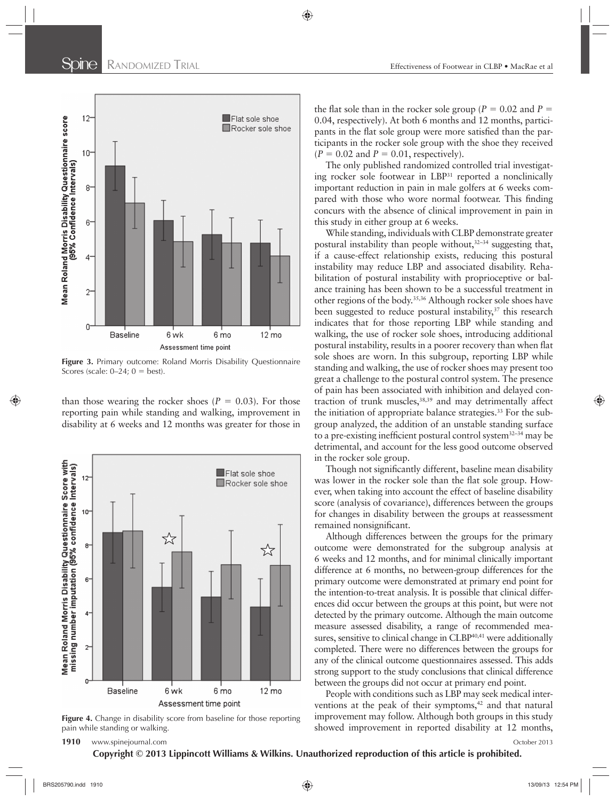

**Figure 3.** Primary outcome: Roland Morris Disability Questionnaire Scores (scale:  $0-24$ ;  $0 = best$ ).

than those wearing the rocker shoes  $(P = 0.03)$ . For those reporting pain while standing and walking, improvement in disability at 6 weeks and 12 months was greater for those in



**Figure 4.** Change in disability score from baseline for those reporting pain while standing or walking.

the flat sole than in the rocker sole group ( $P = 0.02$  and  $P =$ 0.04, respectively). At both 6 months and 12 months, participants in the flat sole group were more satisfied than the participants in the rocker sole group with the shoe they received  $(P = 0.02$  and  $P = 0.01$ , respectively).

The only published randomized controlled trial investigating rocker sole footwear in LBP<sup>31</sup> reported a nonclinically important reduction in pain in male golfers at 6 weeks compared with those who wore normal footwear. This finding concurs with the absence of clinical improvement in pain in this study in either group at 6 weeks.

While standing, individuals with CLBP demonstrate greater postural instability than people without,  $32-34$  suggesting that, if a cause-effect relationship exists, reducing this postural instability may reduce LBP and associated disability. Rehabilitation of postural instability with proprioceptive or balance training has been shown to be a successful treatment in other regions of the body. 35,36 Although rocker sole shoes have been suggested to reduce postural instability,<sup>37</sup> this research indicates that for those reporting LBP while standing and walking, the use of rocker sole shoes, introducing additional postural instability, results in a poorer recovery than when flat sole shoes are worn. In this subgroup, reporting LBP while standing and walking, the use of rocker shoes may present too great a challenge to the postural control system. The presence of pain has been associated with inhibition and delayed contraction of trunk muscles, 38,39 and may detrimentally affect the initiation of appropriate balance strategies. 33 For the subgroup analyzed, the addition of an unstable standing surface to a pre-existing inefficient postural control system<sup>32-34</sup> may be detrimental, and account for the less good outcome observed in the rocker sole group.

Though not significantly different, baseline mean disability was lower in the rocker sole than the flat sole group. However, when taking into account the effect of baseline disability score (analysis of covariance), differences between the groups for changes in disability between the groups at reassessment remained nonsignificant.

Although differences between the groups for the primary outcome were demonstrated for the subgroup analysis at 6 weeks and 12 months, and for minimal clinically important difference at 6 months, no between-group differences for the primary outcome were demonstrated at primary end point for the intention-to-treat analysis. It is possible that clinical differences did occur between the groups at this point, but were not detected by the primary outcome. Although the main outcome measure assessed disability, a range of recommended measures, sensitive to clinical change in CLBP<sup>40,41</sup> were additionally completed. There were no differences between the groups for any of the clinical outcome questionnaires assessed. This adds strong support to the study conclusions that clinical difference between the groups did not occur at primary end point.

People with conditions such as LBP may seek medical interventions at the peak of their symptoms,<sup>42</sup> and that natural improvement may follow. Although both groups in this study showed improvement in reported disability at 12 months,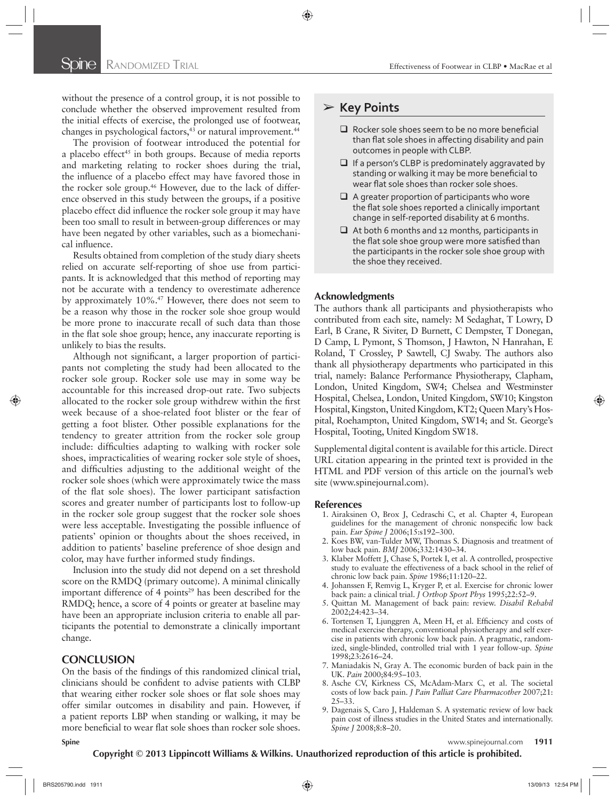without the presence of a control group, it is not possible to conclude whether the observed improvement resulted from the initial effects of exercise, the prolonged use of footwear, changes in psychological factors,<sup>43</sup> or natural improvement.<sup>44</sup>

The provision of footwear introduced the potential for a placebo effect<sup>45</sup> in both groups. Because of media reports and marketing relating to rocker shoes during the trial, the influence of a placebo effect may have favored those in the rocker sole group.<sup>46</sup> However, due to the lack of difference observed in this study between the groups, if a positive placebo effect did influence the rocker sole group it may have been too small to result in between-group differences or may have been negated by other variables, such as a biomechanical influence.

Results obtained from completion of the study diary sheets relied on accurate self-reporting of shoe use from participants. It is acknowledged that this method of reporting may not be accurate with a tendency to overestimate adherence by approximately 10%. 47 However, there does not seem to be a reason why those in the rocker sole shoe group would be more prone to inaccurate recall of such data than those in the flat sole shoe group; hence, any inaccurate reporting is unlikely to bias the results.

Although not significant, a larger proportion of participants not completing the study had been allocated to the rocker sole group. Rocker sole use may in some way be accountable for this increased drop-out rate. Two subjects allocated to the rocker sole group withdrew within the first week because of a shoe-related foot blister or the fear of getting a foot blister. Other possible explanations for the tendency to greater attrition from the rocker sole group include: difficulties adapting to walking with rocker sole shoes, impracticalities of wearing rocker sole style of shoes, and difficulties adjusting to the additional weight of the rocker sole shoes (which were approximately twice the mass of the flat sole shoes). The lower participant satisfaction scores and greater number of participants lost to follow-up in the rocker sole group suggest that the rocker sole shoes were less acceptable. Investigating the possible influence of patients' opinion or thoughts about the shoes received, in addition to patients' baseline preference of shoe design and color, may have further informed study findings.

Inclusion into the study did not depend on a set threshold score on the RMDQ (primary outcome). A minimal clinically important difference of 4 points<sup>29</sup> has been described for the RMDQ; hence, a score of 4 points or greater at baseline may have been an appropriate inclusion criteria to enable all participants the potential to demonstrate a clinically important change.

#### **CONCLUSION**

On the basis of the findings of this randomized clinical trial, clinicians should be confident to advise patients with CLBP that wearing either rocker sole shoes or flat sole shoes may offer similar outcomes in disability and pain. However, if a patient reports LBP when standing or walking, it may be more beneficial to wear flat sole shoes than rocker sole shoes.

# ➢ **Key Points**

- $\Box$  Rocker sole shoes seem to be no more beneficial than flat sole shoes in affecting disability and pain outcomes in people with CLBP.
- $\Box$  If a person's CLBP is predominately aggravated by standing or walking it may be more beneficial to wear flat sole shoes than rocker sole shoes.
- $\Box$  A greater proportion of participants who wore the flat sole shoes reported a clinically important change in self-reported disability at 6 months.
- $\Box$  At both 6 months and 12 months, participants in the flat sole shoe group were more satisfied than the participants in the rocker sole shoe group with the shoe they received.

#### **Acknowledgments**

The authors thank all participants and physiotherapists who contributed from each site, namely: M Sedaghat, T Lowry, D Earl, B Crane, R Siviter, D Burnett, C Dempster, T Donegan, D Camp, L Pymont, S Thomson, J Hawton, N Hanrahan, E Roland, T Crossley, P Sawtell, CJ Swaby. The authors also thank all physiotherapy departments who participated in this trial, namely: Balance Performance Physiotherapy, Clapham, London, United Kingdom, SW4; Chelsea and Westminster Hospital, Chelsea, London, United Kingdom, SW10; Kingston Hospital, Kingston, United Kingdom, KT2; Queen Mary's Hospital, Roehampton, United Kingdom, SW14; and St. George's Hospital, Tooting, United Kingdom SW18.

Supplemental digital content is available for this article. Direct URL citation appearing in the printed text is provided in the HTML and PDF version of this article on the journal's web site (www.spinejournal.com).

#### **References**

- 1. Airaksinen O, Brox J, Cedraschi C, et al. Chapter 4, European guidelines for the management of chronic nonspecific low back pain. *Eur Spine J* 2006;15:s192-300.
- 2. Koes BW, van-Tulder MW, Thomas S. Diagnosis and treatment of low back pain. *BMJ* 2006;332:1430-34.
- 3. Klaber Moffett J, Chase S, Portek I, et al. A controlled, prospective study to evaluate the effectiveness of a back school in the relief of chronic low back pain. Spine 1986;11:120-22.
- 4. Johanssen F, Remvig L, Kryger P, et al. Exercise for chronic lower back pain: a clinical trial. *J Orthop Sport Phys* 1995;22:52-9.
- 5. Quittan M. Management of back pain: review. Disabil Rehabil 2002;24:423-34.
- 6. Tortensen T, Ljunggren A, Meen H, et al. Efficiency and costs of medical exercise therapy, conventional physiotherapy and self exercise in patients with chronic low back pain. A pragmatic, randomized, single-blinded, controlled trial with 1 year follow-up. Spine 1998;23:2616-24.
- 7. Maniadakis N, Gray A. The economic burden of back pain in the UK. Pain 2000;84:95-103.
- 8. Asche CV, Kirkness CS, McAdam-Marx C, et al. The societal costs of low back pain. *J Pain Palliat Care Pharmacother* 2007;21:  $25 - 33.$
- 9. Dagenais S, Caro J, Haldeman S. A systematic review of low back pain cost of illness studies in the United States and internationally. *Spine J* 2008;8:8-20.

**Spine** www.spinejournal.com **1911**